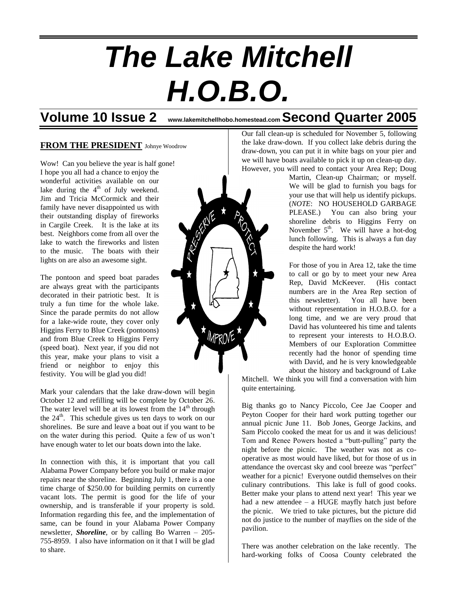# *The Lake Mitchell H.O.B.O.*

# **Volume 10 Issue 2 www.lakemitchellhobo.homestead.com Second Quarter 2005**

MPROVE \*

#### **FROM THE PRESIDENT** Johnye Woodrow

Wow! Can you believe the year is half gone! I hope you all had a chance to enjoy the wonderful activities available on our lake during the  $4<sup>th</sup>$  of July weekend. Jim and Tricia McCormick and their family have never disappointed us with their outstanding display of fireworks in Cargile Creek. It is the lake at its best. Neighbors come from all over the lake to watch the fireworks and listen to the music. The boats with their lights on are also an awesome sight.

The pontoon and speed boat parades are always great with the participants decorated in their patriotic best. It is truly a fun time for the whole lake. Since the parade permits do not allow for a lake-wide route, they cover only Higgins Ferry to Blue Creek (pontoons) and from Blue Creek to Higgins Ferry (speed boat). Next year, if you did not this year, make your plans to visit a friend or neighbor to enjoy this festivity. You will be glad you did!

Mark your calendars that the lake draw-down will begin October 12 and refilling will be complete by October 26. The water level will be at its lowest from the  $14<sup>th</sup>$  through the  $24<sup>th</sup>$ . This schedule gives us ten days to work on our shorelines. Be sure and leave a boat out if you want to be on the water during this period. Quite a few of us won't have enough water to let our boats down into the lake.

In connection with this, it is important that you call Alabama Power Company before you build or make major repairs near the shoreline. Beginning July 1, there is a one time charge of \$250.00 for building permits on currently vacant lots. The permit is good for the life of your ownership, and is transferable if your property is sold. Information regarding this fee, and the implementation of same, can be found in your Alabama Power Company newsletter, *Shoreline*, or by calling Bo Warren – 205- 755-8959. I also have information on it that I will be glad to share.



Martin, Clean-up Chairman; or myself. We will be glad to furnish you bags for your use that will help us identify pickups. (*NOTE*: NO HOUSEHOLD GARBAGE PLEASE.) You can also bring your shoreline debris to Higgins Ferry on November  $5<sup>th</sup>$ . We will have a hot-dog lunch following. This is always a fun day despite the hard work!

For those of you in Area 12, take the time to call or go by to meet your new Area Rep, David McKeever. (His contact numbers are in the Area Rep section of this newsletter). You all have been without representation in H.O.B.O. for a long time, and we are very proud that David has volunteered his time and talents to represent your interests to H.O.B.O. Members of our Exploration Committee recently had the honor of spending time with David, and he is very knowledgeable about the history and background of Lake

Mitchell. We think you will find a conversation with him quite entertaining.

Big thanks go to Nancy Piccolo, Cee Jae Cooper and Peyton Cooper for their hard work putting together our annual picnic June 11. Bob Jones, George Jackins, and Sam Piccolo cooked the meat for us and it was delicious! Tom and Renee Powers hosted a "butt-pulling" party the night before the picnic. The weather was not as cooperative as most would have liked, but for those of us in attendance the overcast sky and cool breeze was "perfect" weather for a picnic! Everyone outdid themselves on their culinary contributions. This lake is full of good cooks. Better make your plans to attend next year! This year we had a new attendee – a HUGE mayfly hatch just before the picnic. We tried to take pictures, but the picture did not do justice to the number of mayflies on the side of the pavilion.

There was another celebration on the lake recently. The hard-working folks of Coosa County celebrated the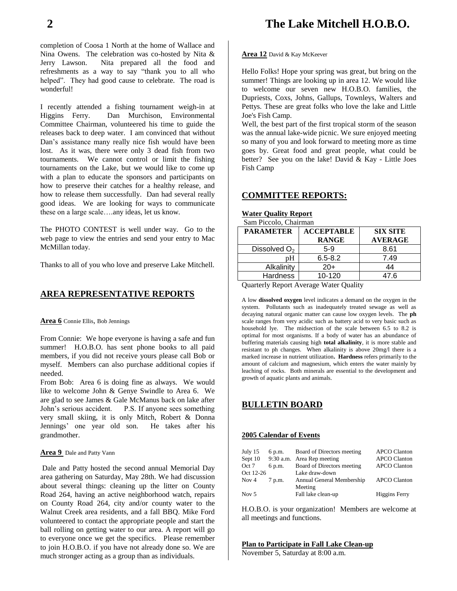completion of Coosa 1 North at the home of Wallace and Nina Owens. The celebration was co-hosted by Nita & Jerry Lawson. Nita prepared all the food and refreshments as a way to say "thank you to all who helped". They had good cause to celebrate. The road is wonderful!

I recently attended a fishing tournament weigh-in at Higgins Ferry. Dan Murchison, Environmental Committee Chairman, volunteered his time to guide the releases back to deep water. I am convinced that without Dan's assistance many really nice fish would have been lost. As it was, there were only 3 dead fish from two tournaments. We cannot control or limit the fishing tournaments on the Lake, but we would like to come up with a plan to educate the sponsors and participants on how to preserve their catches for a healthy release, and how to release them successfully. Dan had several really good ideas. We are looking for ways to communicate these on a large scale….any ideas, let us know.

The PHOTO CONTEST is well under way. Go to the web page to view the entries and send your entry to Mac McMillan today.

Thanks to all of you who love and preserve Lake Mitchell.

### **AREA REPRESENTATIVE REPORTS**

**Area 6** Connie Ellis, Bob Jennings

From Connie: We hope everyone is having a safe and fun summer! H.O.B.O. has sent phone books to all paid members, if you did not receive yours please call Bob or myself. Members can also purchase additional copies if needed.

From Bob: Area 6 is doing fine as always. We would like to welcome John & Genye Swindle to Area 6. We are glad to see James & Gale McManus back on lake after John's serious accident. P.S. If anyone sees something very small skiing, it is only Mitch, Robert & Donna Jennings' one year old son. He takes after his grandmother.

#### **Area 9** Dale and Patty Vann

Dale and Patty hosted the second annual Memorial Day area gathering on Saturday, May 28th. We had discussion about several things: cleaning up the litter on County Road 264, having an active neighborhood watch, repairs on County Road 264, city and/or county water to the Walnut Creek area residents, and a fall BBQ. Mike Ford volunteered to contact the appropriate people and start the ball rolling on getting water to our area. A report will go to everyone once we get the specifics. Please remember to join H.O.B.O. if you have not already done so. We are much stronger acting as a group than as individuals.

**Area 12** David & Kay McKeever

Hello Folks! Hope your spring was great, but bring on the summer! Things are looking up in area 12. We would like to welcome our seven new H.O.B.O. families, the Dupriests, Coxs, Johns, Gallups, Townleys, Walters and Pettys. These are great folks who love the lake and Little Joe's Fish Camp.

Well, the best part of the first tropical storm of the season was the annual lake-wide picnic. We sure enjoyed meeting so many of you and look forward to meeting more as time goes by. Great food and great people, what could be better? See you on the lake! David & Kay - Little Joes Fish Camp

## **COMMITTEE REPORTS:**

#### **Water Quality Report**

Sam Piccolo, Chairman

| <b>ACCEPTABLE</b> | <b>SIX SITE</b> |
|-------------------|-----------------|
| <b>RANGE</b>      | <b>AVERAGE</b>  |
| $5-9$             | 8.61            |
| $6.5 - 8.2$       | 7.49            |
| $20+$             | 44              |
| $10 - 120$        | 47.6            |
|                   |                 |

Quarterly Report Average Water Quality

A low **dissolved oxygen** level indicates a demand on the oxygen in the system. Pollutants such as inadequately treated sewage as well as decaying natural organic matter can cause low oxygen levels. The **ph** scale ranges from very acidic such as battery acid to very basic such as household lye. The midsection of the scale between 6.5 to 8.2 is optimal for most organisms. If a body of water has an abundance of buffering materials causing high **total alkalinity**, it is more stable and resistant to ph changes. When alkalinity is above 20mg/l there is a marked increase in nutrient utilization**. Hardness** refers primarily to the amount of calcium and magnesium, which enters the water mainly by leaching of rocks. Both minerals are essential to the development and growth of aquatic plants and animals.

# **BULLETIN BOARD**

#### **2005 Calendar of Events**

| July 15   | 6 p.m. | Board of Directors meeting           | <b>APCO Clanton</b>  |
|-----------|--------|--------------------------------------|----------------------|
| Sept 10   |        | 9:30 a.m. Area Rep meeting           | <b>APCO Clanton</b>  |
| Oct 7     | 6 p.m. | Board of Directors meeting           | <b>APCO Clanton</b>  |
| Oct 12-26 |        | Lake draw-down                       |                      |
| Nov 4     | 7 p.m. | Annual General Membership<br>Meeting | <b>APCO Clanton</b>  |
| Nov $5$   |        | Fall lake clean-up                   | <b>Higgins Ferry</b> |

H.O.B.O. is your organization! Members are welcome at all meetings and functions.

**Plan to Participate in Fall Lake Clean-up**

November 5, Saturday at 8:00 a.m.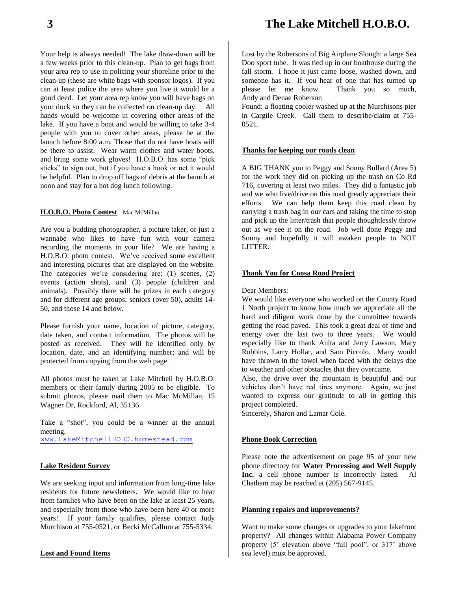Your help is always needed! The lake draw-down will be a few weeks prior to this clean-up. Plan to get bags from your area rep to use in policing your shoreline prior to the clean-up (these are white bags with sponsor logos). If you can at least police the area where you live it would be a good deed. Let your area rep know you will have bags on your dock so they can be collected on clean-up day. All hands would be welcome in covering other areas of the lake. If you have a boat and would be willing to take 3-4 people with you to cover other areas, please be at the launch before 8:00 a.m. Those that do not have boats will be there to assist. Wear warm clothes and water boots, and bring some work gloves! H.O.B.O. has some "pick sticks" to sign out, but if you have a hook or net it would be helpful. Plan to drop off bags of debris at the launch at noon and stay for a hot dog lunch following.

#### **H.O.B.O. Photo Contest** Mac McMillan

Are you a budding photographer, a picture taker, or just a wannabe who likes to have fun with your camera recording the moments in your life? We are having a H.O.B.O. photo contest. We've received some excellent and interesting pictures that are displayed on the website. The categories we're considering are: (1) scenes, (2) events (action shots), and (3) people (children and animals). Possibly there will be prizes in each category and for different age groups; seniors (over 50), adults 14- 50, and those 14 and below.

Please furnish your name, location of picture, category, date taken, and contact information. The photos will be posted as received. They will be identified only by location, date, and an identifying number; and will be protected from copying from the web page.

All photos must be taken at Lake Mitchell by H.O.B.O. members or their family during 2005 to be eligible. To submit photos, please mail them to Mac McMillan, 15 Wagner Dr, Rockford, Al, 35136.

Take a "shot", you could be a winner at the annual meeting. [www.LakeMitchellHOBO.homestead.com](http://www.lakemitchellhobo.homestead.com/)

#### **Lake Resident Survey**

We are seeking input and information from long-time lake residents for future newsletters. We would like to hear from families who have been on the lake at least 25 years, and especially from those who have been here 40 or more years! If your family qualifies, please contact Judy Murchison at 755-0521, or Becki McCallum at 755-5334.

#### **Lost and Found Items**

Lost by the Robersons of Big Airplane Slough: a large Sea Doo sport tube. It was tied up in our boathouse during the fall storm. I hope it just came loose, washed down, and someone has it. If you hear of one that has turned up please let me know. Thank you so much, Andy and Denae Roberson

Found: a floating cooler washed up at the Murchisons pier in Cargile Creek. Call them to describe/claim at 755- 0521.

#### **Thanks for keeping our roads clean**

A BIG THANK you to Peggy and Sonny Bullard (Area 5) for the work they did on picking up the trash on Co Rd 716, covering at least two miles. They did a fantastic job and we who live/drive on this road greatly appreciate their efforts. We can help them keep this road clean by carrying a trash bag in our cars and taking the time to stop and pick up the litter/trash that people thoughtlessly throw out as we see it on the road. Job well done Peggy and Sonny and hopefully it will awaken people to NOT LITTER.

#### **Thank You for Coosa Road Project**

Dear Members:

We would like everyone who worked on the County Road 1 North project to know how much we appreciate all the hard and diligent work done by the committee towards getting the road paved. This took a great deal of time and energy over the last two to three years. We would especially like to thank Anita and Jerry Lawson, Mary Robbins, Larry Hollar, and Sam Piccolo. Many would have thrown in the towel when faced with the delays due to weather and other obstacles that they overcame.

Also, the drive over the mountain is beautiful and our vehicles don't have red tires anymore. Again, we just wanted to express our gratitude to all in getting this project completed.

Sincerely, Sharon and Lamar Cole.

#### **Phone Book Correction**

Please note the advertisement on page 95 of your new phone directory for **Water Processing and Well Supply**  Inc. a cell phone number is incorrectly listed. Al Chatham may be reached at (205) 567-9145.

#### **Planning repairs and improvements?**

Want to make some changes or upgrades to your lakefront property? All changes within Alabama Power Company property (5' elevation above "full pool", or 317' above sea level) must be approved.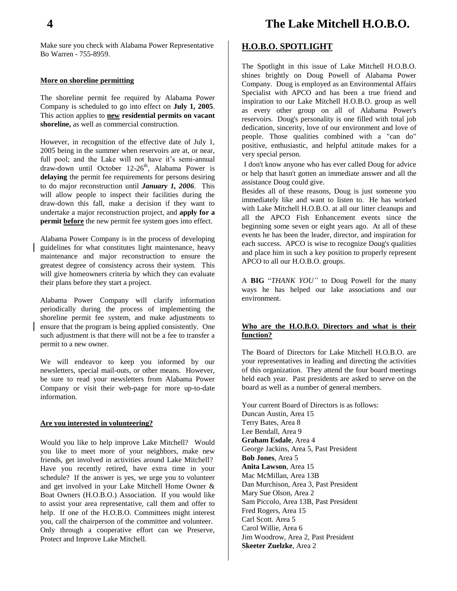Make sure you check with Alabama Power Representative Bo Warren - 755-8959.

#### **More on shoreline permitting**

The shoreline permit fee required by Alabama Power Company is scheduled to go into effect on **July 1, 2005**. This action applies to **new residential permits on vacant shoreline,** as well as commercial construction.

However, in recognition of the effective date of July 1, 2005 being in the summer when reservoirs are at, or near, full pool; and the Lake will not have it's semi-annual draw-down until October 12-26 th, Alabama Power is **delaying** the permit fee requirements for persons desiring to do major reconstruction until *January 1, 2006*. This will allow people to inspect their facilities during the draw-down this fall, make a decision if they want to undertake a major reconstruction project, and **apply for a permit before** the new permit fee system goes into effect.

Alabama Power Company is in the process of developing guidelines for what constitutes light maintenance, heavy maintenance and major reconstruction to ensure the greatest degree of consistency across their system. This will give homeowners criteria by which they can evaluate their plans before they start a project.

Alabama Power Company will clarify information periodically during the process of implementing the shoreline permit fee system, and make adjustments to ensure that the program is being applied consistently. One such adjustment is that there will not be a fee to transfer a permit to a new owner.

We will endeavor to keep you informed by our newsletters, special mail-outs, or other means. However, be sure to read your newsletters from Alabama Power Company or visit their web-page for more up-to-date information.

#### **Are you interested in volunteering?**

Would you like to help improve Lake Mitchell? Would you like to meet more of your neighbors, make new friends, get involved in activities around Lake Mitchell? Have you recently retired, have extra time in your schedule? If the answer is yes, we urge you to volunteer and get involved in your Lake Mitchell Home Owner & Boat Owners (H.O.B.O.) Association. If you would like to assist your area representative, call them and offer to help. If one of the H.O.B.O. Committees might interest you, call the chairperson of the committee and volunteer. Only through a cooperative effort can we Preserve, Protect and Improve Lake Mitchell.

# **H.O.B.O. SPOTLIGHT**

The Spotlight in this issue of Lake Mitchell H.O.B.O. shines brightly on Doug Powell of Alabama Power Company. Doug is employed as an Environmental Affairs Specialist with APCO and has been a true friend and inspiration to our Lake Mitchell H.O.B.O. group as well as every other group on all of Alabama Power's reservoirs. Doug's personality is one filled with total job dedication, sincerity, love of our environment and love of people. Those qualities combined with a "can do" positive, enthusiastic, and helpful attitude makes for a very special person.

I don't know anyone who has ever called Doug for advice or help that hasn't gotten an immediate answer and all the assistance Doug could give.

Besides all of these reasons, Doug is just someone you immediately like and want to listen to. He has worked with Lake Mitchell H.O.B.O. at all our litter cleanups and all the APCO Fish Enhancement events since the beginning some seven or eight years ago. At all of these events he has been the leader, director, and inspiration for each success. APCO is wise to recognize Doug's qualities and place him in such a key position to properly represent APCO to all our H.O.B.O. groups.

A **BIG** "*THANK YOU"* to Doug Powell for the many ways he has helped our lake associations and our environment.

#### **Who are the H.O.B.O. Directors and what is their function?**

The Board of Directors for Lake Mitchell H.O.B.O. are your representatives in leading and directing the activities of this organization. They attend the four board meetings held each year. Past presidents are asked to serve on the board as well as a number of general members.

Your current Board of Directors is as follows: Duncan Austin, Area 15 Terry Bates, Area 8 Lee Bendall, Area 9 **Graham Esdale**, Area 4 George Jackins, Area 5, Past President **Bob Jones**, Area 5 **Anita Lawson**, Area 15 Mac McMillan, Area 13B Dan Murchison, Area 3, Past President Mary Sue Olson, Area 2 Sam Piccolo, Area 13B, Past President Fred Rogers, Area 15 Carl Scott. Area 5 Carol Willie, Area 6 Jim Woodrow, Area 2, Past President **Skeeter Zuelzke**, Area 2